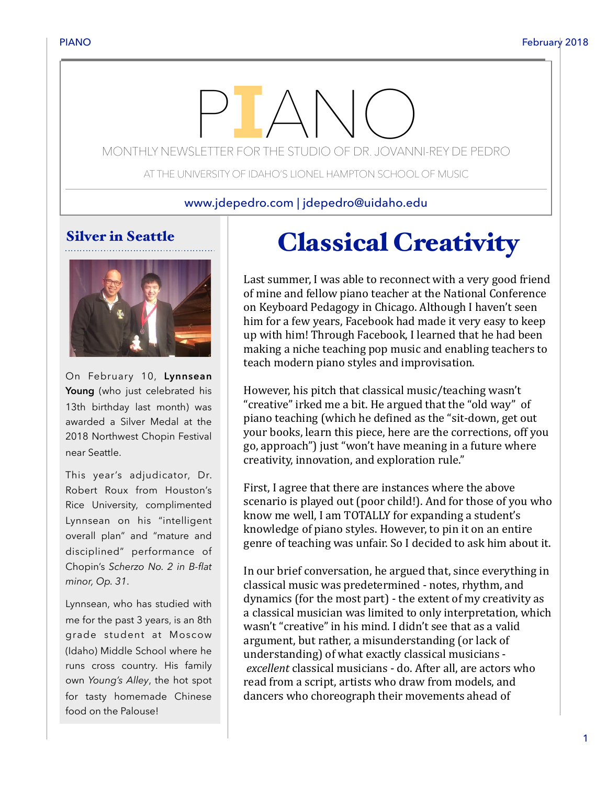# MONTHLY NEWSLETTER FOR THE STUDIO OF DR. JOVANNI-REY DE PEDRO

AT THE UNIVERSITY OF IDAHO'S LIONEL HAMPTON SCHOOL OF MUSIC

www.jdepedro.com | jdepedro@uidaho.edu

## Silver in Seattle



On February 10, **Lynnsean Young** (who just celebrated his 13th birthday last month) was awarded a Silver Medal at the 2018 Northwest Chopin Festival near Seattle.

This year's adjudicator, Dr. Robert Roux from Houston's Rice University, complimented Lynnsean on his "intelligent overall plan" and "mature and disciplined" performance of Chopin's *Scherzo No. 2 in B-flat minor, Op. 31*.

Lynnsean, who has studied with me for the past 3 years, is an 8th grade student at Moscow (Idaho) Middle School where he runs cross country. His family own *Young's Alley*, the hot spot for tasty homemade Chinese food on the Palouse!

## Classical Creativity

Last summer, I was able to reconnect with a very good friend of mine and fellow piano teacher at the National Conference on Keyboard Pedagogy in Chicago. Although I haven't seen him for a few years, Facebook had made it very easy to keep up with him! Through Facebook, I learned that he had been making a niche teaching pop music and enabling teachers to teach modern piano styles and improvisation.

However, his pitch that classical music/teaching wasn't "creative" irked me a bit. He argued that the "old way" of piano teaching (which he defined as the "sit-down, get out your books, learn this piece, here are the corrections, off you go, approach") just "won't have meaning in a future where creativity, innovation, and exploration rule."

First, I agree that there are instances where the above scenario is played out (poor child!). And for those of you who know me well, I am TOTALLY for expanding a student's knowledge of piano styles. However, to pin it on an entire genre of teaching was unfair. So I decided to ask him about it.

In our brief conversation, he argued that, since everything in classical music was predetermined - notes, rhythm, and dynamics (for the most part) - the extent of my creativity as a classical musician was limited to only interpretation, which wasn't "creative" in his mind. I didn't see that as a valid argument, but rather, a misunderstanding (or lack of understanding) of what exactly classical musicians excellent classical musicians - do. After all, are actors who read from a script, artists who draw from models, and dancers who choreograph their movements ahead of